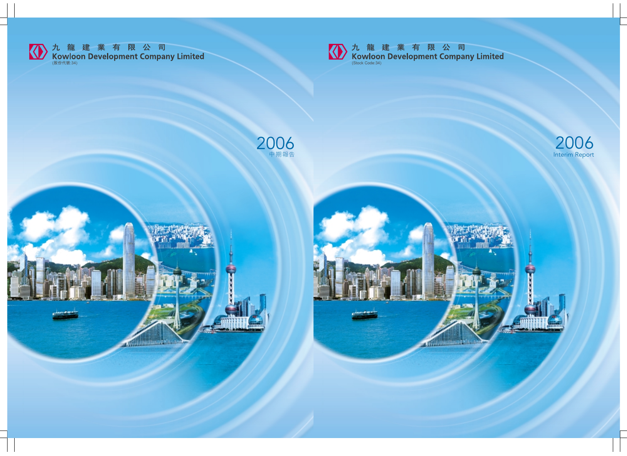

**TELE** 

**CALLMAN IN THE REAL** 

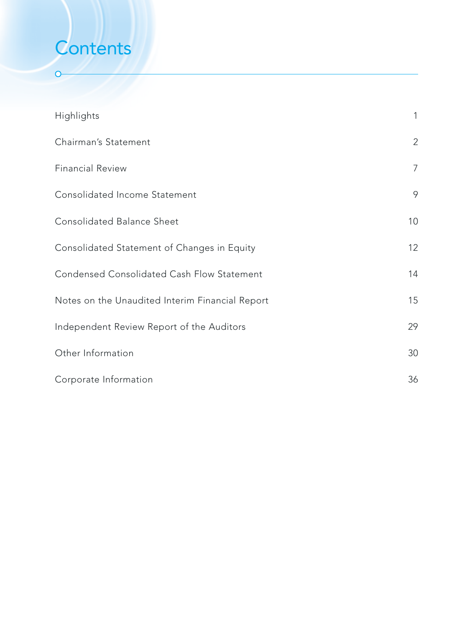# **Contents**

 $\overline{O}$ 

| Highlights                                      | $\mathbf{1}$   |
|-------------------------------------------------|----------------|
| Chairman's Statement                            | $\overline{2}$ |
| <b>Financial Review</b>                         | $\overline{7}$ |
| Consolidated Income Statement                   | 9              |
| Consolidated Balance Sheet                      | 10             |
| Consolidated Statement of Changes in Equity     | 12             |
| Condensed Consolidated Cash Flow Statement      | 14             |
| Notes on the Unaudited Interim Financial Report | 15             |
| Independent Review Report of the Auditors       | 29             |
| Other Information                               | 30             |
| Corporate Information                           | 36             |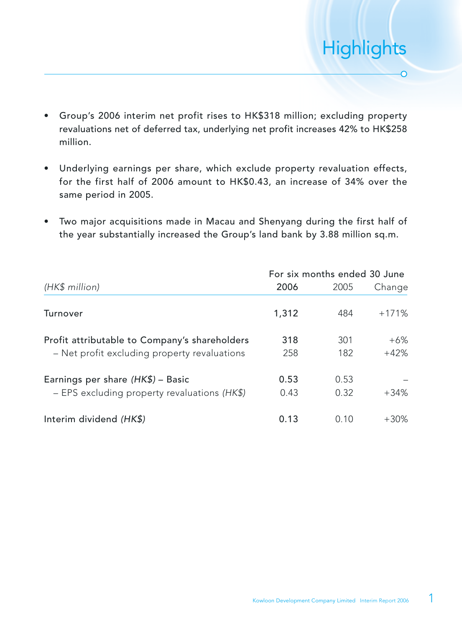- Group's 2006 interim net profit rises to HK\$318 million; excluding property revaluations net of deferred tax, underlying net profit increases 42% to HK\$258 million.
- Underlying earnings per share, which exclude property revaluation effects, for the first half of 2006 amount to HK\$0.43, an increase of 34% over the same period in 2005.
- Two major acquisitions made in Macau and Shenyang during the first half of the year substantially increased the Group's land bank by 3.88 million sq.m.

|                                               | For six months ended 30 June |      |         |  |
|-----------------------------------------------|------------------------------|------|---------|--|
| (HK\$ million)                                | 2006                         | 2005 | Change  |  |
| Turnover                                      | 1,312                        | 484  | $+171%$ |  |
| Profit attributable to Company's shareholders | 318                          | 301  | $+6%$   |  |
| - Net profit excluding property revaluations  | 258                          | 182  | $+42%$  |  |
| Earnings per share (HK\$) - Basic             | 0.53                         | 0.53 |         |  |
| - EPS excluding property revaluations (HK\$)  | 0.43                         | 0.32 | $+34%$  |  |
| Interim dividend (HK\$)                       | 0.13                         | 0.10 | $+30\%$ |  |

**Highlights** 

 $\overline{O}$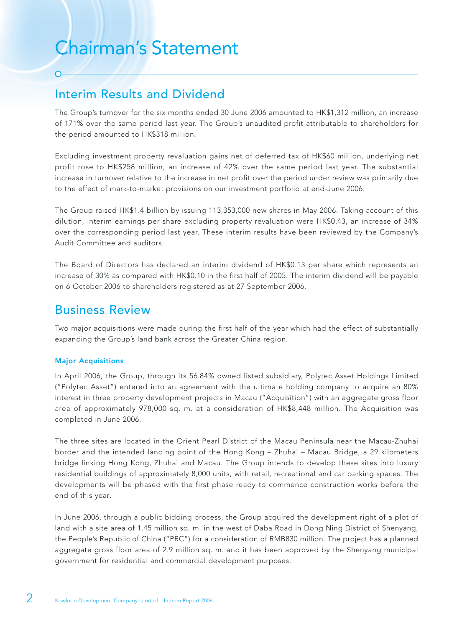# Chairman's Statement

# Interim Results and Dividend

The Group's turnover for the six months ended 30 June 2006 amounted to HK\$1,312 million, an increase of 171% over the same period last year. The Group's unaudited profit attributable to shareholders for the period amounted to HK\$318 million.

Excluding investment property revaluation gains net of deferred tax of HK\$60 million, underlying net profit rose to HK\$258 million, an increase of 42% over the same period last year. The substantial increase in turnover relative to the increase in net profit over the period under review was primarily due to the effect of mark-to-market provisions on our investment portfolio at end-June 2006.

The Group raised HK\$1.4 billion by issuing 113,353,000 new shares in May 2006. Taking account of this dilution, interim earnings per share excluding property revaluation were HK\$0.43, an increase of 34% over the corresponding period last year. These interim results have been reviewed by the Company's Audit Committee and auditors.

The Board of Directors has declared an interim dividend of HK\$0.13 per share which represents an increase of 30% as compared with HK\$0.10 in the first half of 2005. The interim dividend will be payable on 6 October 2006 to shareholders registered as at 27 September 2006.

## Business Review

Two major acquisitions were made during the first half of the year which had the effect of substantially expanding the Group's land bank across the Greater China region.

#### Major Acquisitions

In April 2006, the Group, through its 56.84% owned listed subsidiary, Polytec Asset Holdings Limited ("Polytec Asset") entered into an agreement with the ultimate holding company to acquire an 80% interest in three property development projects in Macau ("Acquisition") with an aggregate gross floor area of approximately 978,000 sq. m. at a consideration of HK\$8,448 million. The Acquisition was completed in June 2006.

The three sites are located in the Orient Pearl District of the Macau Peninsula near the Macau-Zhuhai border and the intended landing point of the Hong Kong – Zhuhai – Macau Bridge, a 29 kilometers bridge linking Hong Kong, Zhuhai and Macau. The Group intends to develop these sites into luxury residential buildings of approximately 8,000 units, with retail, recreational and car parking spaces. The developments will be phased with the first phase ready to commence construction works before the end of this year.

In June 2006, through a public bidding process, the Group acquired the development right of a plot of land with a site area of 1.45 million sq. m. in the west of Daba Road in Dong Ning District of Shenyang, the People's Republic of China ("PRC") for a consideration of RMB830 million. The project has a planned aggregate gross floor area of 2.9 million sq. m. and it has been approved by the Shenyang municipal government for residential and commercial development purposes.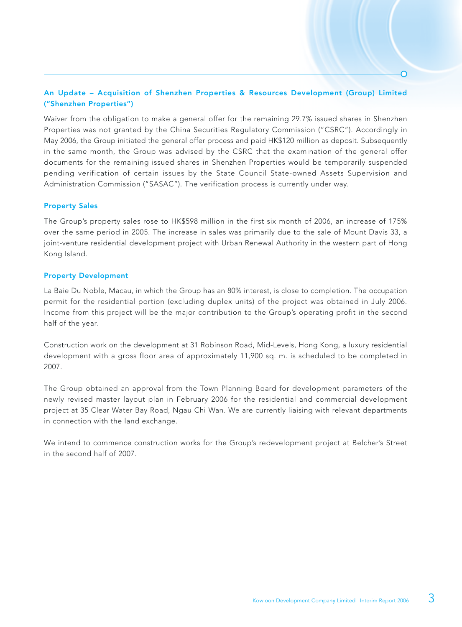#### An Update – Acquisition of Shenzhen Properties & Resources Development (Group) Limited ("Shenzhen Properties")

Waiver from the obligation to make a general offer for the remaining 29.7% issued shares in Shenzhen Properties was not granted by the China Securities Regulatory Commission ("CSRC"). Accordingly in May 2006, the Group initiated the general offer process and paid HK\$120 million as deposit. Subsequently in the same month, the Group was advised by the CSRC that the examination of the general offer documents for the remaining issued shares in Shenzhen Properties would be temporarily suspended pending verification of certain issues by the State Council State-owned Assets Supervision and Administration Commission ("SASAC"). The verification process is currently under way.

#### Property Sales

The Group's property sales rose to HK\$598 million in the first six month of 2006, an increase of 175% over the same period in 2005. The increase in sales was primarily due to the sale of Mount Davis 33, a joint-venture residential development project with Urban Renewal Authority in the western part of Hong Kong Island.

#### Property Development

La Baie Du Noble, Macau, in which the Group has an 80% interest, is close to completion. The occupation permit for the residential portion (excluding duplex units) of the project was obtained in July 2006. Income from this project will be the major contribution to the Group's operating profit in the second half of the year.

Construction work on the development at 31 Robinson Road, Mid-Levels, Hong Kong, a luxury residential development with a gross floor area of approximately 11,900 sq. m. is scheduled to be completed in 2007.

The Group obtained an approval from the Town Planning Board for development parameters of the newly revised master layout plan in February 2006 for the residential and commercial development project at 35 Clear Water Bay Road, Ngau Chi Wan. We are currently liaising with relevant departments in connection with the land exchange.

We intend to commence construction works for the Group's redevelopment project at Belcher's Street in the second half of 2007.

 $\overline{\Omega}$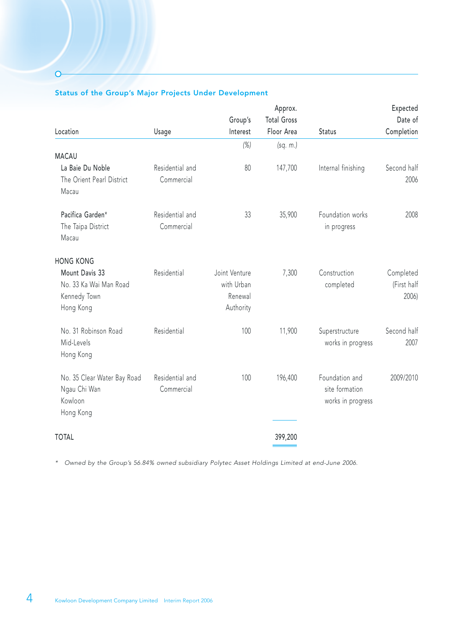#### Status of the Group's Major Projects Under Development

 $\overline{O}$ 

|                                                                       |                               |                                                     | Approx.            |                                                       | Expected                          |
|-----------------------------------------------------------------------|-------------------------------|-----------------------------------------------------|--------------------|-------------------------------------------------------|-----------------------------------|
|                                                                       |                               | Group's                                             | <b>Total Gross</b> |                                                       | Date of                           |
| Location                                                              | Usage                         | Interest                                            | Floor Area         | Status                                                | Completion                        |
| <b>MACAU</b>                                                          |                               | $(\%)$                                              | (sq. m.)           |                                                       |                                   |
| La Baie Du Noble<br>The Orient Pearl District<br>Macau                | Residential and<br>Commercial | 80                                                  | 147,700            | Internal finishing                                    | Second half<br>2006               |
| Pacifica Garden*<br>The Taipa District<br>Macau                       | Residential and<br>Commercial | 33                                                  | 35,900             | Foundation works<br>in progress                       | 2008                              |
| <b>HONG KONG</b>                                                      |                               |                                                     |                    |                                                       |                                   |
| Mount Davis 33<br>No. 33 Ka Wai Man Road<br>Kennedy Town<br>Hong Kong | Residential                   | Joint Venture<br>with Urban<br>Renewal<br>Authority | 7,300              | Construction<br>completed                             | Completed<br>(First half<br>2006) |
| No. 31 Robinson Road<br>Mid-Levels<br>Hong Kong                       | Residential                   | 100                                                 | 11,900             | Superstructure<br>works in progress                   | Second half<br>2007               |
| No. 35 Clear Water Bay Road<br>Ngau Chi Wan<br>Kowloon<br>Hong Kong   | Residential and<br>Commercial | 100                                                 | 196,400            | Foundation and<br>site formation<br>works in progress | 2009/2010                         |
| <b>TOTAL</b>                                                          |                               |                                                     | 399,200            |                                                       |                                   |

\* Owned by the Group's 56.84% owned subsidiary Polytec Asset Holdings Limited at end-June 2006.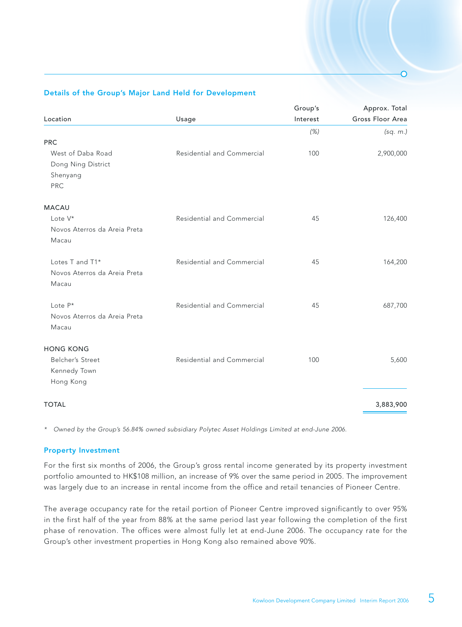#### Details of the Group's Major Land Held for Development

|                            | Group's  | Approx. Total    |
|----------------------------|----------|------------------|
| Usage                      | Interest | Gross Floor Area |
|                            | (%)      | (sq. m.)         |
|                            |          |                  |
| Residential and Commercial | 100      | 2,900,000        |
|                            |          |                  |
|                            |          |                  |
|                            |          |                  |
|                            |          |                  |
| Residential and Commercial | 45       | 126,400          |
|                            |          |                  |
|                            |          |                  |
| Residential and Commercial | 45       | 164,200          |
|                            |          |                  |
|                            |          |                  |
| Residential and Commercial | 45       | 687,700          |
|                            |          |                  |
|                            |          |                  |
|                            |          |                  |
| Residential and Commercial | 100      | 5,600            |
|                            |          |                  |
|                            |          |                  |
|                            |          | 3,883,900        |
|                            |          |                  |

\* Owned by the Group's 56.84% owned subsidiary Polytec Asset Holdings Limited at end-June 2006.

#### Property Investment

For the first six months of 2006, the Group's gross rental income generated by its property investment portfolio amounted to HK\$108 million, an increase of 9% over the same period in 2005. The improvement was largely due to an increase in rental income from the office and retail tenancies of Pioneer Centre.

The average occupancy rate for the retail portion of Pioneer Centre improved significantly to over 95% in the first half of the year from 88% at the same period last year following the completion of the first phase of renovation. The offices were almost fully let at end-June 2006. The occupancy rate for the Group's other investment properties in Hong Kong also remained above 90%.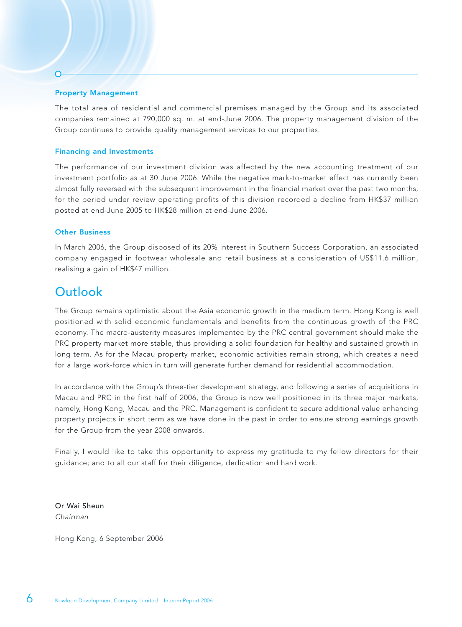#### Property Management

The total area of residential and commercial premises managed by the Group and its associated companies remained at 790,000 sq. m. at end-June 2006. The property management division of the Group continues to provide quality management services to our properties.

#### Financing and Investments

The performance of our investment division was affected by the new accounting treatment of our investment portfolio as at 30 June 2006. While the negative mark-to-market effect has currently been almost fully reversed with the subsequent improvement in the financial market over the past two months, for the period under review operating profits of this division recorded a decline from HK\$37 million posted at end-June 2005 to HK\$28 million at end-June 2006.

#### Other Business

In March 2006, the Group disposed of its 20% interest in Southern Success Corporation, an associated company engaged in footwear wholesale and retail business at a consideration of US\$11.6 million, realising a gain of HK\$47 million.

### **Outlook**

The Group remains optimistic about the Asia economic growth in the medium term. Hong Kong is well positioned with solid economic fundamentals and benefits from the continuous growth of the PRC economy. The macro-austerity measures implemented by the PRC central government should make the PRC property market more stable, thus providing a solid foundation for healthy and sustained growth in long term. As for the Macau property market, economic activities remain strong, which creates a need for a large work-force which in turn will generate further demand for residential accommodation.

In accordance with the Group's three-tier development strategy, and following a series of acquisitions in Macau and PRC in the first half of 2006, the Group is now well positioned in its three major markets, namely, Hong Kong, Macau and the PRC. Management is confident to secure additional value enhancing property projects in short term as we have done in the past in order to ensure strong earnings growth for the Group from the year 2008 onwards.

Finally, I would like to take this opportunity to express my gratitude to my fellow directors for their guidance; and to all our staff for their diligence, dedication and hard work.

Or Wai Sheun Chairman

Hong Kong, 6 September 2006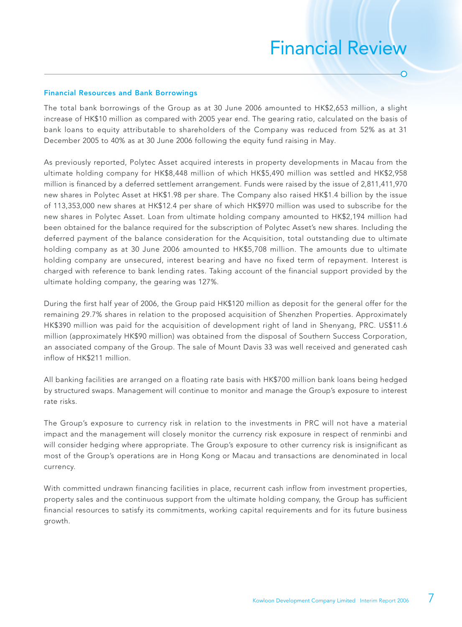# Financial Review

Ō

#### Financial Resources and Bank Borrowings

The total bank borrowings of the Group as at 30 June 2006 amounted to HK\$2,653 million, a slight increase of HK\$10 million as compared with 2005 year end. The gearing ratio, calculated on the basis of bank loans to equity attributable to shareholders of the Company was reduced from 52% as at 31 December 2005 to 40% as at 30 June 2006 following the equity fund raising in May.

As previously reported, Polytec Asset acquired interests in property developments in Macau from the ultimate holding company for HK\$8,448 million of which HK\$5,490 million was settled and HK\$2,958 million is financed by a deferred settlement arrangement. Funds were raised by the issue of 2,811,411,970 new shares in Polytec Asset at HK\$1.98 per share. The Company also raised HK\$1.4 billion by the issue of 113,353,000 new shares at HK\$12.4 per share of which HK\$970 million was used to subscribe for the new shares in Polytec Asset. Loan from ultimate holding company amounted to HK\$2,194 million had been obtained for the balance required for the subscription of Polytec Asset's new shares. Including the deferred payment of the balance consideration for the Acquisition, total outstanding due to ultimate holding company as at 30 June 2006 amounted to HK\$5,708 million. The amounts due to ultimate holding company are unsecured, interest bearing and have no fixed term of repayment. Interest is charged with reference to bank lending rates. Taking account of the financial support provided by the ultimate holding company, the gearing was 127%.

During the first half year of 2006, the Group paid HK\$120 million as deposit for the general offer for the remaining 29.7% shares in relation to the proposed acquisition of Shenzhen Properties. Approximately HK\$390 million was paid for the acquisition of development right of land in Shenyang, PRC. US\$11.6 million (approximately HK\$90 million) was obtained from the disposal of Southern Success Corporation, an associated company of the Group. The sale of Mount Davis 33 was well received and generated cash inflow of HK\$211 million.

All banking facilities are arranged on a floating rate basis with HK\$700 million bank loans being hedged by structured swaps. Management will continue to monitor and manage the Group's exposure to interest rate risks.

The Group's exposure to currency risk in relation to the investments in PRC will not have a material impact and the management will closely monitor the currency risk exposure in respect of renminbi and will consider hedging where appropriate. The Group's exposure to other currency risk is insignificant as most of the Group's operations are in Hong Kong or Macau and transactions are denominated in local currency.

With committed undrawn financing facilities in place, recurrent cash inflow from investment properties, property sales and the continuous support from the ultimate holding company, the Group has sufficient financial resources to satisfy its commitments, working capital requirements and for its future business growth.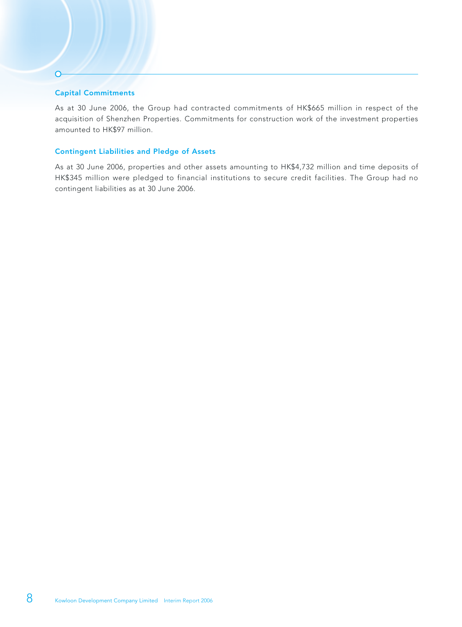#### Capital Commitments

 $\Omega$ 

As at 30 June 2006, the Group had contracted commitments of HK\$665 million in respect of the acquisition of Shenzhen Properties. Commitments for construction work of the investment properties amounted to HK\$97 million.

#### Contingent Liabilities and Pledge of Assets

As at 30 June 2006, properties and other assets amounting to HK\$4,732 million and time deposits of HK\$345 million were pledged to financial institutions to secure credit facilities. The Group had no contingent liabilities as at 30 June 2006.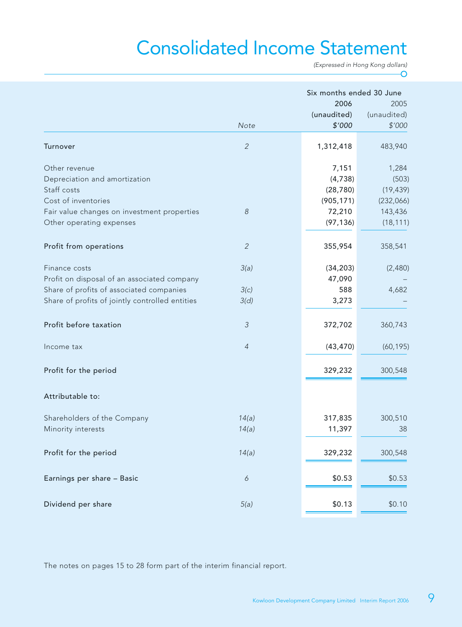# Consolidated Income Statement

(Expressed in Hong Kong dollars) O

| 2006<br>(unaudited)<br>\$'000<br>Note                                     | 2005<br>(unaudited)<br>\$'000<br>483,940 |
|---------------------------------------------------------------------------|------------------------------------------|
|                                                                           |                                          |
|                                                                           |                                          |
| $\overline{2}$<br>Turnover<br>1,312,418                                   |                                          |
| Other revenue<br>7,151                                                    | 1,284                                    |
| Depreciation and amortization<br>(4,738)                                  | (503)                                    |
| Staff costs<br>(28, 780)                                                  | (19, 439)                                |
| Cost of inventories<br>(905, 171)                                         | (232,066)                                |
| 72,210<br>Fair value changes on investment properties<br>$\boldsymbol{8}$ | 143,436                                  |
| Other operating expenses<br>(97, 136)                                     | (18, 111)                                |
| $\overline{2}$<br>355,954<br>Profit from operations                       | 358,541                                  |
| 3(a)<br>(34, 203)<br>Finance costs                                        | (2,480)                                  |
| Profit on disposal of an associated company<br>47,090                     |                                          |
| 588<br>Share of profits of associated companies<br>3(c)                   | 4,682                                    |
| Share of profits of jointly controlled entities<br>3,273<br>3(d)          |                                          |
| $\mathfrak{Z}$<br>Profit before taxation<br>372,702                       | 360,743                                  |
| $\overline{4}$<br>(43, 470)<br>Income tax                                 | (60, 195)                                |
| Profit for the period<br>329,232                                          | 300,548                                  |
| Attributable to:                                                          |                                          |
| 317,835<br>Shareholders of the Company<br>14(a)                           | 300,510                                  |
| 11,397<br>Minority interests<br>14(a)                                     | 38                                       |
|                                                                           |                                          |
| 14(a)<br>Profit for the period<br>329,232                                 | 300,548                                  |
| Earnings per share - Basic<br>\$0.53<br>$\boldsymbol{\delta}$             | \$0.53                                   |
| Dividend per share<br>\$0.13<br>5(a)                                      | \$0.10                                   |

The notes on pages 15 to 28 form part of the interim financial report.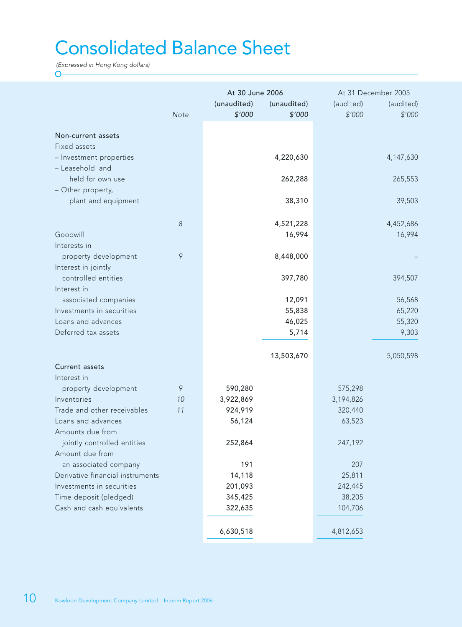# Consolidated Balance Sheet

(Expressed in Hong Kong dollars)  $\overline{O}$ 

|                                  |                  | At 30 June 2006 |             | At 31 December 2005 |             |
|----------------------------------|------------------|-----------------|-------------|---------------------|-------------|
|                                  |                  | (unaudited)     | (unaudited) | (audited)           | (audited)   |
|                                  | Note             | \$'000          | \$'000      | \$'000              | \$'000      |
|                                  |                  |                 |             |                     |             |
| Non-current assets               |                  |                 |             |                     |             |
| Fixed assets                     |                  |                 |             |                     |             |
| - Investment properties          |                  |                 | 4,220,630   |                     | 4, 147, 630 |
| - Leasehold land                 |                  |                 |             |                     |             |
| held for own use                 |                  |                 | 262,288     |                     | 265,553     |
| - Other property,                |                  |                 |             |                     |             |
| plant and equipment              |                  |                 | 38,310      |                     | 39,503      |
|                                  | $\boldsymbol{8}$ |                 | 4,521,228   |                     | 4,452,686   |
| Goodwill                         |                  |                 | 16,994      |                     | 16,994      |
| Interests in                     |                  |                 |             |                     |             |
| property development             | 9                |                 | 8,448,000   |                     |             |
| Interest in jointly              |                  |                 |             |                     |             |
| controlled entities              |                  |                 | 397,780     |                     | 394,507     |
| Interest in                      |                  |                 |             |                     |             |
| associated companies             |                  |                 | 12,091      |                     | 56,568      |
| Investments in securities        |                  |                 | 55,838      |                     | 65,220      |
| Loans and advances               |                  |                 | 46,025      |                     | 55,320      |
| Deferred tax assets              |                  |                 | 5,714       |                     | 9,303       |
|                                  |                  |                 |             |                     |             |
|                                  |                  |                 | 13,503,670  |                     | 5,050,598   |
| Current assets                   |                  |                 |             |                     |             |
| Interest in                      |                  |                 |             |                     |             |
| property development             | 9                | 590,280         |             | 575,298             |             |
| Inventories                      | 10               | 3,922,869       |             | 3,194,826           |             |
| Trade and other receivables      | 11               | 924,919         |             | 320,440             |             |
| Loans and advances               |                  | 56,124          |             | 63,523              |             |
| Amounts due from                 |                  |                 |             |                     |             |
| jointly controlled entities      |                  | 252,864         |             | 247,192             |             |
| Amount due from                  |                  |                 |             |                     |             |
| an associated company            |                  | 191             |             | 207                 |             |
| Derivative financial instruments |                  | 14,118          |             | 25,811              |             |
| Investments in securities        |                  | 201,093         |             | 242,445             |             |
| Time deposit (pledged)           |                  | 345,425         |             | 38,205              |             |
| Cash and cash equivalents        |                  | 322,635         |             | 104,706             |             |
|                                  |                  |                 |             |                     |             |
|                                  |                  | 6,630,518       |             | 4,812,653           |             |
|                                  |                  |                 |             |                     |             |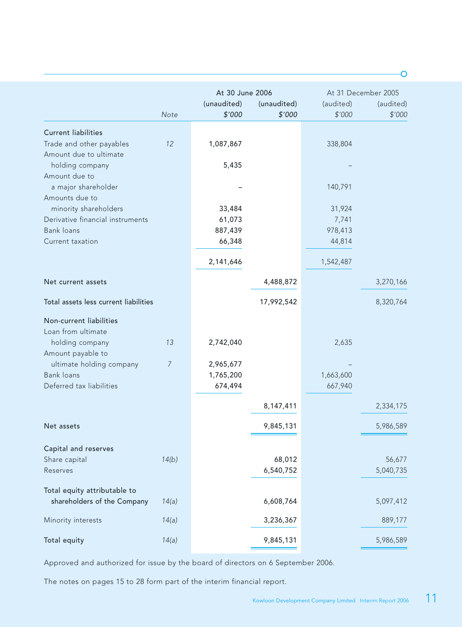|                                               |       | At 30 June 2006 |             |           | At 31 December 2005 |
|-----------------------------------------------|-------|-----------------|-------------|-----------|---------------------|
|                                               |       | (unaudited)     | (unaudited) | (audited) | (audited)           |
|                                               | Note  | \$'000          | \$'000      | \$'000    | \$'000              |
| <b>Current liabilities</b>                    |       |                 |             |           |                     |
| Trade and other payables                      | 12    | 1,087,867       |             | 338,804   |                     |
| Amount due to ultimate                        |       |                 |             |           |                     |
| holding company                               |       | 5,435           |             |           |                     |
| Amount due to<br>a major shareholder          |       |                 |             | 140,791   |                     |
| Amounts due to                                |       |                 |             |           |                     |
| minority shareholders                         |       | 33,484          |             | 31,924    |                     |
| Derivative financial instruments              |       | 61,073          |             | 7,741     |                     |
| <b>Bank loans</b>                             |       | 887,439         |             | 978,413   |                     |
| Current taxation                              |       | 66,348          |             | 44,814    |                     |
|                                               |       | 2,141,646       |             | 1,542,487 |                     |
| Net current assets                            |       |                 | 4,488,872   |           | 3,270,166           |
| Total assets less current liabilities         |       |                 | 17,992,542  |           | 8,320,764           |
|                                               |       |                 |             |           |                     |
| Non-current liabilities<br>Loan from ultimate |       |                 |             |           |                     |
| holding company                               | 13    | 2,742,040       |             | 2,635     |                     |
| Amount payable to                             |       |                 |             |           |                     |
| ultimate holding company                      | 7     | 2,965,677       |             |           |                     |
| <b>Bank loans</b>                             |       | 1,765,200       |             | 1,663,600 |                     |
| Deferred tax liabilities                      |       | 674,494         |             | 667,940   |                     |
|                                               |       |                 | 8,147,411   |           | 2,334,175           |
| Net assets                                    |       |                 | 9,845,131   |           | 5,986,589           |
|                                               |       |                 |             |           |                     |
| Capital and reserves                          |       |                 |             |           |                     |
| Share capital                                 | 14(b) |                 | 68,012      |           | 56,677              |
| Reserves                                      |       |                 | 6,540,752   |           | 5,040,735           |
| Total equity attributable to                  |       |                 |             |           |                     |
| shareholders of the Company                   | 14(a) |                 | 6,608,764   |           | 5,097,412           |
| Minority interests                            | 14(a) |                 | 3,236,367   |           | 889,177             |
|                                               |       |                 |             |           |                     |
| Total equity                                  | 14(a) |                 | 9,845,131   |           | 5,986,589           |

Approved and authorized for issue by the board of directors on 6 September 2006.

The notes on pages 15 to 28 form part of the interim financial report.

Ō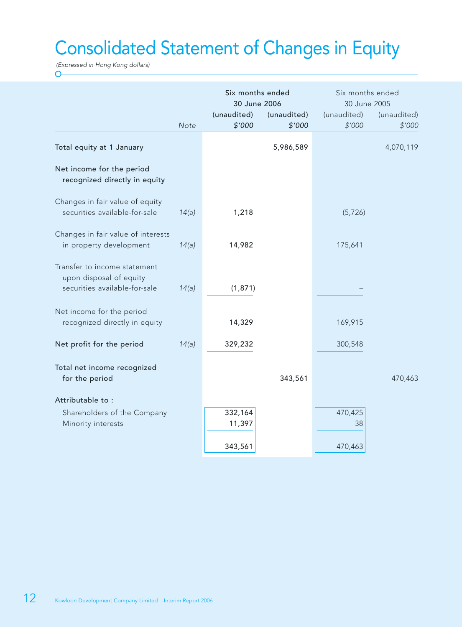# Consolidated Statement of Changes in Equity

(Expressed in Hong Kong dollars)  $\overline{O}$ 

|                                                                                          |       | Six months ended<br>30 June 2006 |                       | Six months ended<br>30 June 2005 |                       |
|------------------------------------------------------------------------------------------|-------|----------------------------------|-----------------------|----------------------------------|-----------------------|
|                                                                                          | Note  | (unaudited)<br>\$'000            | (unaudited)<br>\$'000 | (unaudited)<br>\$'000            | (unaudited)<br>\$'000 |
| Total equity at 1 January                                                                |       |                                  | 5,986,589             |                                  | 4,070,119             |
| Net income for the period<br>recognized directly in equity                               |       |                                  |                       |                                  |                       |
| Changes in fair value of equity<br>securities available-for-sale                         | 14(a) | 1,218                            |                       | (5, 726)                         |                       |
| Changes in fair value of interests<br>in property development                            | 14(a) | 14,982                           |                       | 175,641                          |                       |
| Transfer to income statement<br>upon disposal of equity<br>securities available-for-sale | 14(a) | (1,871)                          |                       |                                  |                       |
| Net income for the period<br>recognized directly in equity                               |       | 14,329                           |                       | 169,915                          |                       |
| Net profit for the period                                                                | 14(a) | 329,232                          |                       | 300,548                          |                       |
| Total net income recognized<br>for the period                                            |       |                                  | 343,561               |                                  | 470,463               |
| Attributable to:                                                                         |       |                                  |                       |                                  |                       |
| Shareholders of the Company<br>Minority interests                                        |       | 332,164<br>11,397                |                       | 470,425<br>38                    |                       |
|                                                                                          |       | 343,561                          |                       | 470,463                          |                       |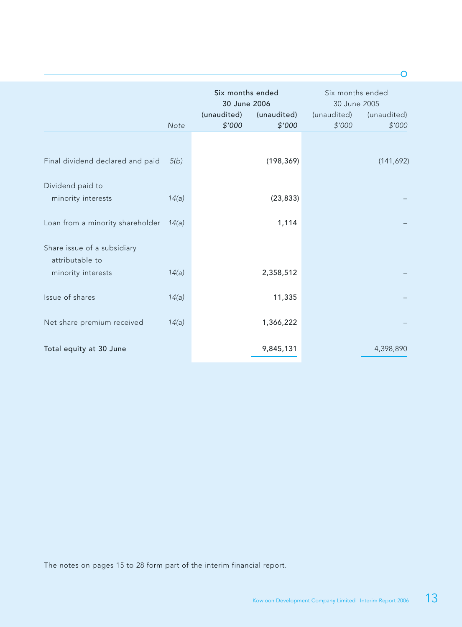|                                                |       | Six months ended<br>30 June 2006 |                       | Six months ended<br>30 June 2005 |                       |
|------------------------------------------------|-------|----------------------------------|-----------------------|----------------------------------|-----------------------|
|                                                | Note  | (unaudited)<br>\$'000            | (unaudited)<br>\$'000 | (unaudited)<br>\$'000            | (unaudited)<br>\$'000 |
|                                                |       |                                  |                       |                                  |                       |
| Final dividend declared and paid               | 5(b)  |                                  | (198, 369)            |                                  | (141, 692)            |
| Dividend paid to                               |       |                                  |                       |                                  |                       |
| minority interests                             | 14(a) |                                  | (23, 833)             |                                  |                       |
| Loan from a minority shareholder               | 14(a) |                                  | 1,114                 |                                  |                       |
| Share issue of a subsidiary<br>attributable to |       |                                  |                       |                                  |                       |
| minority interests                             | 14(a) |                                  | 2,358,512             |                                  |                       |
| Issue of shares                                | 14(a) |                                  | 11,335                |                                  |                       |
| Net share premium received                     | 14(a) |                                  | 1,366,222             |                                  |                       |
| Total equity at 30 June                        |       |                                  | 9,845,131             |                                  | 4,398,890             |

The notes on pages 15 to 28 form part of the interim financial report.

 $\overline{O}$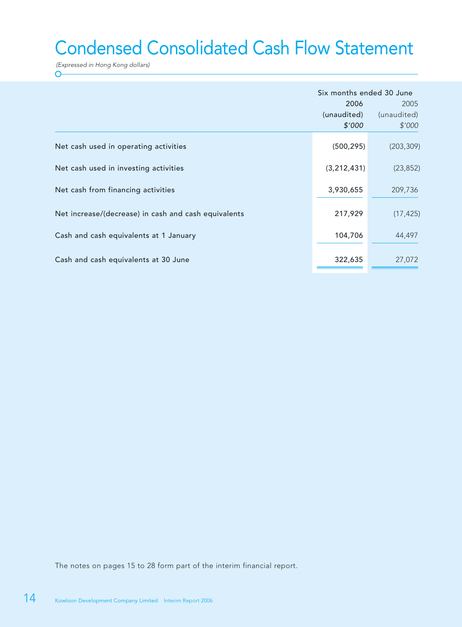# Condensed Consolidated Cash Flow Statement

(Expressed in Hong Kong dollars)  $\overline{O}$ 

|                                                      | Six months ended 30 June<br>2006<br>(unaudited)<br>\$'000 | 2005<br>(unaudited)<br>\$'000 |
|------------------------------------------------------|-----------------------------------------------------------|-------------------------------|
| Net cash used in operating activities                | (500, 295)                                                | (203, 309)                    |
| Net cash used in investing activities                | (3, 212, 431)                                             | (23, 852)                     |
| Net cash from financing activities                   | 3,930,655                                                 | 209,736                       |
| Net increase/(decrease) in cash and cash equivalents | 217,929                                                   | (17, 425)                     |
| Cash and cash equivalents at 1 January               | 104,706                                                   | 44,497                        |
| Cash and cash equivalents at 30 June                 | 322,635                                                   | 27,072                        |

The notes on pages 15 to 28 form part of the interim financial report.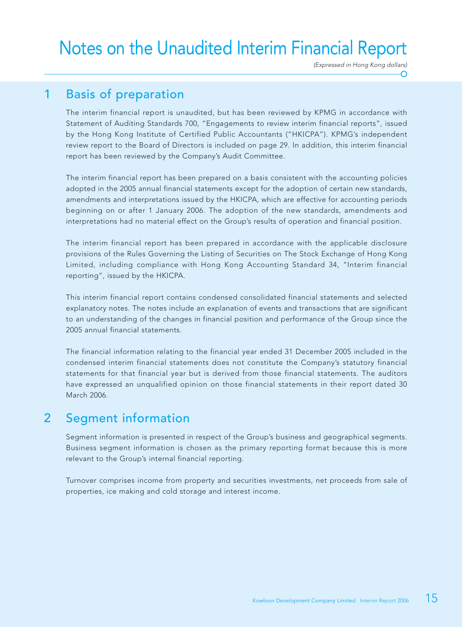# Notes on the Unaudited Interim Financial Report

(Expressed in Hong Kong dollars)

# 1 Basis of preparation

The interim financial report is unaudited, but has been reviewed by KPMG in accordance with Statement of Auditing Standards 700, "Engagements to review interim financial reports", issued by the Hong Kong Institute of Certified Public Accountants ("HKICPA"). KPMG's independent review report to the Board of Directors is included on page 29. In addition, this interim financial report has been reviewed by the Company's Audit Committee.

The interim financial report has been prepared on a basis consistent with the accounting policies adopted in the 2005 annual financial statements except for the adoption of certain new standards, amendments and interpretations issued by the HKICPA, which are effective for accounting periods beginning on or after 1 January 2006. The adoption of the new standards, amendments and interpretations had no material effect on the Group's results of operation and financial position.

The interim financial report has been prepared in accordance with the applicable disclosure provisions of the Rules Governing the Listing of Securities on The Stock Exchange of Hong Kong Limited, including compliance with Hong Kong Accounting Standard 34, "Interim financial reporting", issued by the HKICPA.

This interim financial report contains condensed consolidated financial statements and selected explanatory notes. The notes include an explanation of events and transactions that are significant to an understanding of the changes in financial position and performance of the Group since the 2005 annual financial statements.

The financial information relating to the financial year ended 31 December 2005 included in the condensed interim financial statements does not constitute the Company's statutory financial statements for that financial year but is derived from those financial statements. The auditors have expressed an unqualified opinion on those financial statements in their report dated 30 March 2006.

## 2 Segment information

Segment information is presented in respect of the Group's business and geographical segments. Business segment information is chosen as the primary reporting format because this is more relevant to the Group's internal financial reporting.

Turnover comprises income from property and securities investments, net proceeds from sale of properties, ice making and cold storage and interest income.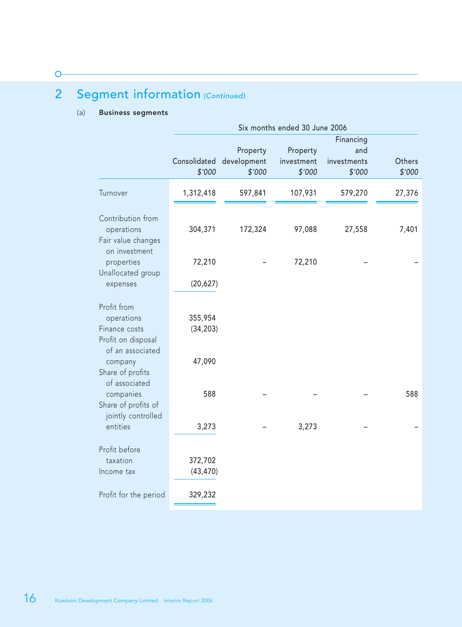# 2 Segment information (Continued)

#### (a) Business segments

 $\circ$ 

|                                                                                                                     |                                |                                   | Six months ended 30 June 2006    |                                           |                  |
|---------------------------------------------------------------------------------------------------------------------|--------------------------------|-----------------------------------|----------------------------------|-------------------------------------------|------------------|
|                                                                                                                     | Consolidated<br>\$'000         | Property<br>development<br>\$'000 | Property<br>investment<br>\$'000 | Financing<br>and<br>investments<br>\$'000 | Others<br>\$'000 |
| Turnover                                                                                                            | 1,312,418                      | 597,841                           | 107,931                          | 579,270                                   | 27,376           |
| Contribution from<br>operations<br>Fair value changes<br>on investment                                              | 304,371                        | 172,324                           | 97,088                           | 27,558                                    | 7,401            |
| properties<br>Unallocated group                                                                                     | 72,210                         |                                   | 72,210                           |                                           |                  |
| expenses                                                                                                            | (20, 627)                      |                                   |                                  |                                           |                  |
| Profit from<br>operations<br>Finance costs<br>Profit on disposal<br>of an associated<br>company<br>Share of profits | 355,954<br>(34, 203)<br>47,090 |                                   |                                  |                                           |                  |
| of associated<br>companies<br>Share of profits of<br>jointly controlled<br>entities                                 | 588<br>3,273                   |                                   | 3,273                            |                                           | 588              |
| Profit before<br>taxation<br>Income tax                                                                             | 372,702<br>(43, 470)           |                                   |                                  |                                           |                  |
| Profit for the period                                                                                               | 329,232                        |                                   |                                  |                                           |                  |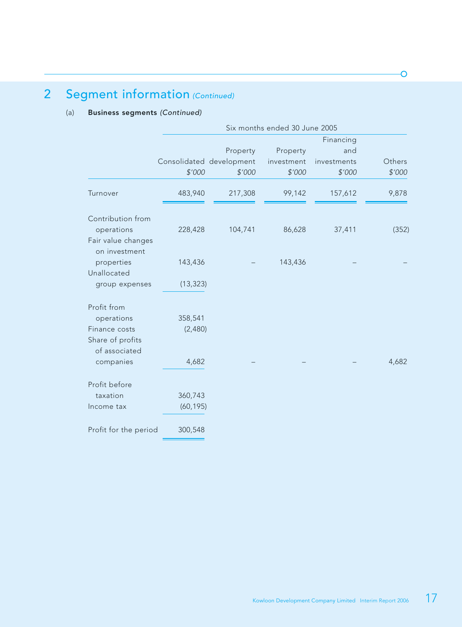# 2 Segment information (Continued)

#### (a) Business segments (Continued)

|                                     |           |                          | Six months ended 30 June 2005 |             |        |
|-------------------------------------|-----------|--------------------------|-------------------------------|-------------|--------|
|                                     |           |                          |                               | Financing   |        |
|                                     |           | Property                 | Property                      | and         |        |
|                                     |           | Consolidated development | investment                    | investments | Others |
|                                     | \$'000    | \$'000                   | \$'000                        | \$'000      | \$'000 |
| Turnover                            | 483,940   | 217,308                  | 99,142                        | 157,612     | 9,878  |
| Contribution from                   |           |                          |                               |             |        |
| operations                          | 228,428   | 104,741                  | 86,628                        | 37,411      | (352)  |
| Fair value changes<br>on investment |           |                          |                               |             |        |
| properties                          | 143,436   |                          | 143,436                       |             |        |
| Unallocated                         |           |                          |                               |             |        |
| group expenses                      | (13, 323) |                          |                               |             |        |
| Profit from                         |           |                          |                               |             |        |
| operations                          | 358,541   |                          |                               |             |        |
| Finance costs                       | (2,480)   |                          |                               |             |        |
| Share of profits<br>of associated   |           |                          |                               |             |        |
| companies                           | 4,682     |                          |                               |             | 4,682  |
| Profit before                       |           |                          |                               |             |        |
| taxation                            | 360,743   |                          |                               |             |        |
| Income tax                          | (60, 195) |                          |                               |             |        |
| Profit for the period               | 300,548   |                          |                               |             |        |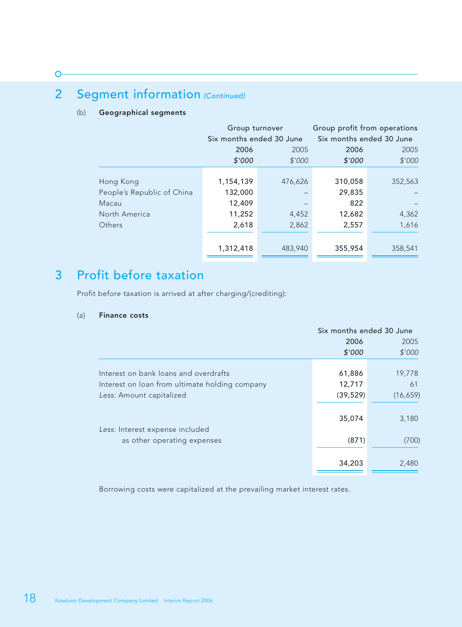#### $\overline{C}$

# 2 Segment information (Continued)

#### (b) Geographical segments

|                                                                             | Group turnover<br>Six months ended 30 June        |                           | Group profit from operations<br>Six months ended 30 June |                           |  |
|-----------------------------------------------------------------------------|---------------------------------------------------|---------------------------|----------------------------------------------------------|---------------------------|--|
|                                                                             | 2006                                              | 2005                      | 2006                                                     | 2005                      |  |
|                                                                             | \$'000                                            | \$'000                    | \$'000                                                   | \$'000                    |  |
| Hong Kong<br>People's Republic of China<br>Macau<br>North America<br>Others | 1,154,139<br>132,000<br>12,409<br>11,252<br>2,618 | 476,626<br>4,452<br>2,862 | 310,058<br>29,835<br>822<br>12,682<br>2,557              | 352,563<br>4,362<br>1,616 |  |
|                                                                             | 1,312,418                                         | 483,940                   | 355,954                                                  | 358,541                   |  |

# 3 Profit before taxation

Profit before taxation is arrived at after charging/(crediting):

#### (a) Finance costs

|                                                | Six months ended 30 June |          |
|------------------------------------------------|--------------------------|----------|
|                                                | 2006                     | 2005     |
|                                                | \$'000                   | \$'000   |
|                                                |                          |          |
| Interest on bank loans and overdrafts          | 61,886                   | 19,778   |
| Interest on loan from ultimate holding company | 12,717                   | 61       |
| Less: Amount capitalized                       | (39, 529)                | (16,659) |
|                                                |                          |          |
|                                                | 35,074                   | 3,180    |
| Less: Interest expense included                |                          |          |
| as other operating expenses                    | (871)                    | (700)    |
|                                                |                          |          |
|                                                | 34,203                   | 2,480    |
|                                                |                          |          |

Borrowing costs were capitalized at the prevailing market interest rates.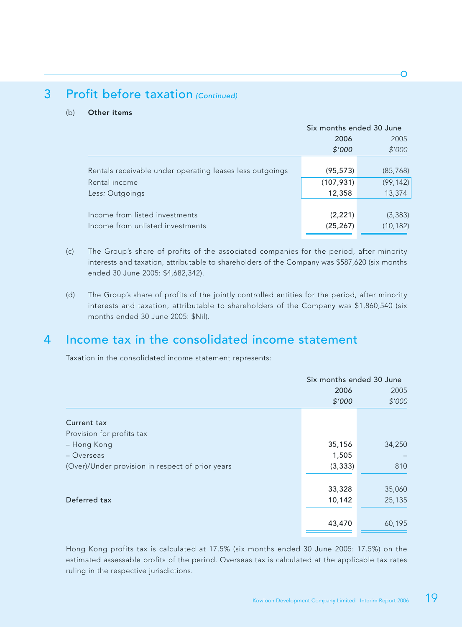# 3 Profit before taxation (Continued)

#### (b) Other items

|                                                          | Six months ended 30 June |           |
|----------------------------------------------------------|--------------------------|-----------|
|                                                          | 2006                     | 2005      |
|                                                          | \$'000                   | \$'000    |
|                                                          |                          |           |
| Rentals receivable under operating leases less outgoings | (95,573)                 | (85, 768) |
| Rental income                                            | (107, 931)               | (99, 142) |
| Less: Outgoings                                          | 12,358                   | 13,374    |
|                                                          |                          |           |
| Income from listed investments                           | (2, 221)                 | (3, 383)  |
| Income from unlisted investments                         | (25, 267)                | (10, 182) |
|                                                          |                          |           |

- (c) The Group's share of profits of the associated companies for the period, after minority interests and taxation, attributable to shareholders of the Company was \$587,620 (six months ended 30 June 2005: \$4,682,342).
- (d) The Group's share of profits of the jointly controlled entities for the period, after minority interests and taxation, attributable to shareholders of the Company was \$1,860,540 (six months ended 30 June 2005: \$Nil).

## 4 Income tax in the consolidated income statement

Taxation in the consolidated income statement represents:

|                                                  | Six months ended 30 June |        |
|--------------------------------------------------|--------------------------|--------|
|                                                  | 2006                     | 2005   |
|                                                  | \$'000                   | \$'000 |
| Current tax                                      |                          |        |
| Provision for profits tax                        |                          |        |
| - Hong Kong                                      | 35,156                   | 34,250 |
| – Overseas                                       | 1,505                    |        |
| (Over)/Under provision in respect of prior years | (3, 333)                 | 810    |
|                                                  |                          |        |
|                                                  | 33,328                   | 35,060 |
| Deferred tax                                     | 10,142                   | 25,135 |
|                                                  |                          |        |
|                                                  | 43,470                   | 60,195 |
|                                                  |                          |        |

Hong Kong profits tax is calculated at 17.5% (six months ended 30 June 2005: 17.5%) on the estimated assessable profits of the period. Overseas tax is calculated at the applicable tax rates ruling in the respective jurisdictions.

∩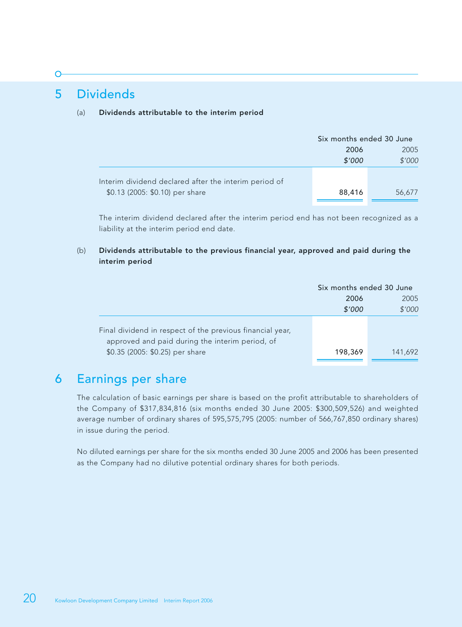## 5 Dividends

#### (a) Dividends attributable to the interim period

|                                                       | Six months ended 30 June |        |  |
|-------------------------------------------------------|--------------------------|--------|--|
|                                                       | 2006                     | 2005   |  |
|                                                       | \$'000                   | \$'000 |  |
| Interim dividend declared after the interim period of |                          |        |  |
| \$0.13 (2005: \$0.10) per share                       | 88,416                   | 56,677 |  |

The interim dividend declared after the interim period end has not been recognized as a liability at the interim period end date.

#### (b) Dividends attributable to the previous financial year, approved and paid during the interim period

|                                                                                                              | Six months ended 30 June |         |  |
|--------------------------------------------------------------------------------------------------------------|--------------------------|---------|--|
|                                                                                                              | 2006                     | 2005    |  |
|                                                                                                              | \$'000                   | \$'000  |  |
| Final dividend in respect of the previous financial year,<br>approved and paid during the interim period, of |                          |         |  |
| \$0.35 (2005: \$0.25) per share                                                                              | 198,369                  | 141,692 |  |

### 6 Earnings per share

The calculation of basic earnings per share is based on the profit attributable to shareholders of the Company of \$317,834,816 (six months ended 30 June 2005: \$300,509,526) and weighted average number of ordinary shares of 595,575,795 (2005: number of 566,767,850 ordinary shares) in issue during the period.

No diluted earnings per share for the six months ended 30 June 2005 and 2006 has been presented as the Company had no dilutive potential ordinary shares for both periods.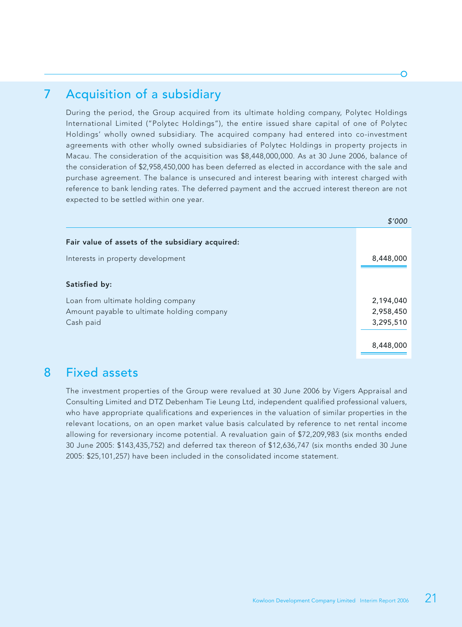# 7 Acquisition of a subsidiary

During the period, the Group acquired from its ultimate holding company, Polytec Holdings International Limited ("Polytec Holdings"), the entire issued share capital of one of Polytec Holdings' wholly owned subsidiary. The acquired company had entered into co-investment agreements with other wholly owned subsidiaries of Polytec Holdings in property projects in Macau. The consideration of the acquisition was \$8,448,000,000. As at 30 June 2006, balance of the consideration of \$2,958,450,000 has been deferred as elected in accordance with the sale and purchase agreement. The balance is unsecured and interest bearing with interest charged with reference to bank lending rates. The deferred payment and the accrued interest thereon are not expected to be settled within one year.

|                                                  | <b>DOO</b> |
|--------------------------------------------------|------------|
| Fair value of assets of the subsidiary acquired: |            |
| Interests in property development                | 8,448,000  |
| Satisfied by:                                    |            |
| Loan from ultimate holding company               | 2,194,040  |
| Amount payable to ultimate holding company       | 2,958,450  |
| Cash paid                                        | 3,295,510  |
|                                                  |            |
|                                                  | 8,448,000  |
|                                                  |            |

### 8 Fixed assets

The investment properties of the Group were revalued at 30 June 2006 by Vigers Appraisal and Consulting Limited and DTZ Debenham Tie Leung Ltd, independent qualified professional valuers, who have appropriate qualifications and experiences in the valuation of similar properties in the relevant locations, on an open market value basis calculated by reference to net rental income allowing for reversionary income potential. A revaluation gain of \$72,209,983 (six months ended 30 June 2005: \$143,435,752) and deferred tax thereon of \$12,636,747 (six months ended 30 June 2005: \$25,101,257) have been included in the consolidated income statement.

 $\ddot{\phantom{a}}$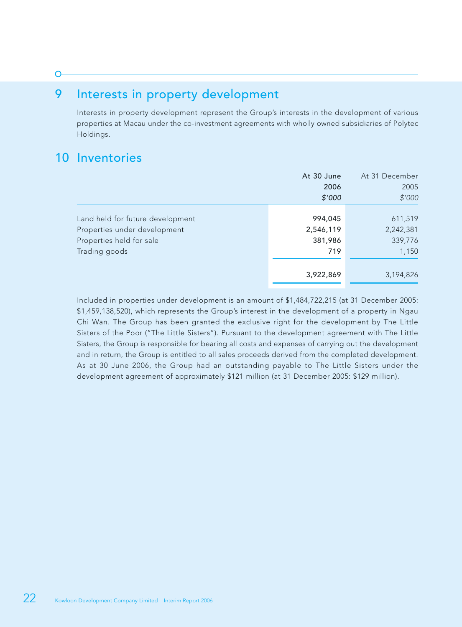# 9 Interests in property development

Interests in property development represent the Group's interests in the development of various properties at Macau under the co-investment agreements with wholly owned subsidiaries of Polytec Holdings.

# 10 Inventories

 $\sqrt{ }$ 

|                                  | At 30 June | At 31 December |
|----------------------------------|------------|----------------|
|                                  | 2006       | 2005           |
|                                  | \$'000     | \$'000         |
|                                  |            |                |
| Land held for future development | 994,045    | 611,519        |
| Properties under development     | 2,546,119  | 2,242,381      |
| Properties held for sale         | 381,986    | 339,776        |
| Trading goods                    | 719        | 1,150          |
|                                  |            |                |
|                                  | 3,922,869  | 3,194,826      |

Included in properties under development is an amount of \$1,484,722,215 (at 31 December 2005: \$1,459,138,520), which represents the Group's interest in the development of a property in Ngau Chi Wan. The Group has been granted the exclusive right for the development by The Little Sisters of the Poor ("The Little Sisters"). Pursuant to the development agreement with The Little Sisters, the Group is responsible for bearing all costs and expenses of carrying out the development and in return, the Group is entitled to all sales proceeds derived from the completed development. As at 30 June 2006, the Group had an outstanding payable to The Little Sisters under the development agreement of approximately \$121 million (at 31 December 2005: \$129 million).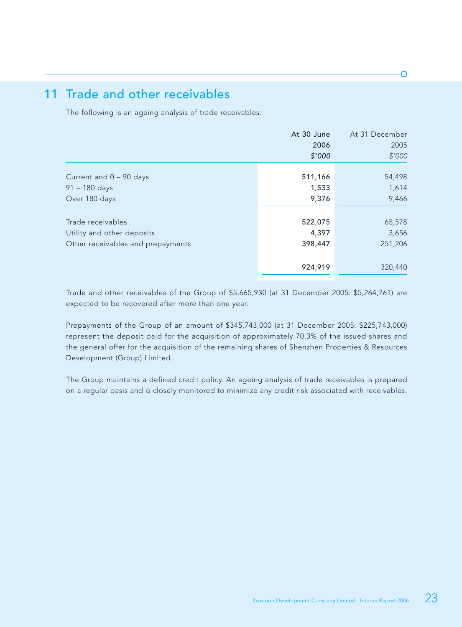## 11 Trade and other receivables

The following is an ageing analysis of trade receivables:

|                                   | At 30 June | At 31 December |
|-----------------------------------|------------|----------------|
|                                   | 2006       | 2005           |
|                                   | \$'000     | \$'000         |
|                                   |            |                |
| Current and $0 - 90$ days         | 511,166    | 54,498         |
| $91 - 180$ days                   | 1,533      | 1,614          |
| Over 180 days                     | 9,376      | 9,466          |
|                                   |            |                |
| Trade receivables                 | 522,075    | 65,578         |
| Utility and other deposits        | 4,397      | 3,656          |
| Other receivables and prepayments | 398,447    | 251,206        |
|                                   | 924,919    | 320,440        |
|                                   |            |                |

Trade and other receivables of the Group of \$5,665,930 (at 31 December 2005: \$5,264,761) are expected to be recovered after more than one year.

Prepayments of the Group of an amount of \$345,743,000 (at 31 December 2005: \$225,743,000) represent the deposit paid for the acquisition of approximately 70.3% of the issued shares and the general offer for the acquisition of the remaining shares of Shenzhen Properties & Resources Development (Group) Limited.

The Group maintains a defined credit policy. An ageing analysis of trade receivables is prepared on a regular basis and is closely monitored to minimize any credit risk associated with receivables.

∩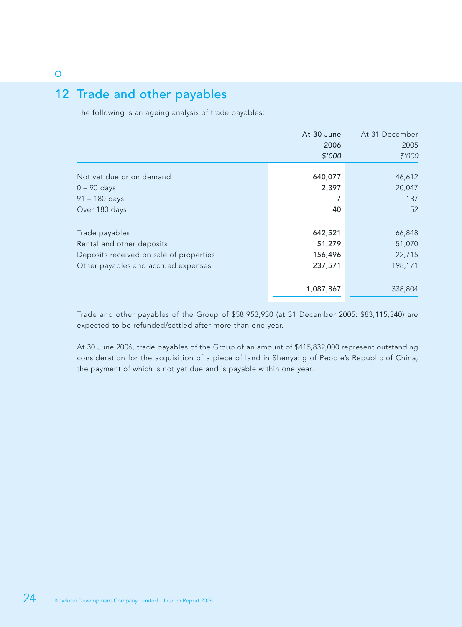# 12 Trade and other payables

The following is an ageing analysis of trade payables:

|                                         | At 30 June | At 31 December |
|-----------------------------------------|------------|----------------|
|                                         | 2006       | 2005           |
|                                         | \$'000     | \$'000         |
| Not yet due or on demand                | 640,077    | 46,612         |
| $0 - 90$ days                           | 2,397      | 20,047         |
| $91 - 180$ days                         |            | 137            |
| Over 180 days                           | 40         | 52             |
| Trade payables                          | 642,521    | 66,848         |
| Rental and other deposits               | 51,279     | 51,070         |
| Deposits received on sale of properties | 156,496    | 22,715         |
| Other payables and accrued expenses     | 237,571    | 198,171        |
|                                         | 1,087,867  | 338,804        |
|                                         |            |                |

Trade and other payables of the Group of \$58,953,930 (at 31 December 2005: \$83,115,340) are expected to be refunded/settled after more than one year.

At 30 June 2006, trade payables of the Group of an amount of \$415,832,000 represent outstanding consideration for the acquisition of a piece of land in Shenyang of People's Republic of China, the payment of which is not yet due and is payable within one year.

 $\subset$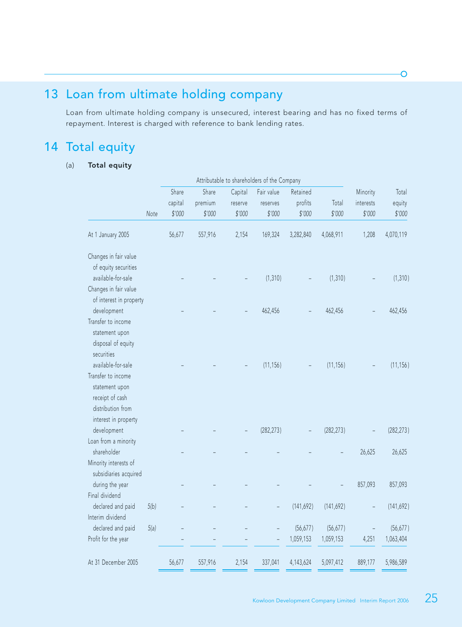# 13 Loan from ultimate holding company

Loan from ultimate holding company is unsecured, interest bearing and has no fixed terms of repayment. Interest is charged with reference to bank lending rates.

# 14 Total equity

#### (a) Total equity

|                           |         |         |         | Attributable to shareholders of the Company |            |            |           |            |
|---------------------------|---------|---------|---------|---------------------------------------------|------------|------------|-----------|------------|
|                           | Share   | Share   | Capital | Fair value                                  | Retained   |            | Minority  | Total      |
|                           | capital | premium | reserve | reserves                                    | profits    | Total      | interests | equity     |
| Note                      | \$'000  | \$'000  | \$'000  | \$'000                                      | \$'000     | \$'000     | \$'000    | \$'000     |
| At 1 January 2005         | 56,677  | 557,916 | 2,154   | 169,324                                     | 3,282,840  | 4,068,911  | 1,208     | 4,070,119  |
| Changes in fair value     |         |         |         |                                             |            |            |           |            |
| of equity securities      |         |         |         |                                             |            |            |           |            |
| available-for-sale        |         |         |         | (1, 310)                                    |            | (1, 310)   |           | (1, 310)   |
| Changes in fair value     |         |         |         |                                             |            |            |           |            |
| of interest in property   |         |         |         |                                             |            |            |           |            |
| development               |         |         |         | 462,456                                     |            | 462,456    |           | 462,456    |
| Transfer to income        |         |         |         |                                             |            |            |           |            |
| statement upon            |         |         |         |                                             |            |            |           |            |
| disposal of equity        |         |         |         |                                             |            |            |           |            |
| securities                |         |         |         |                                             |            |            |           |            |
| available-for-sale        |         |         |         | (11, 156)                                   |            | (11, 156)  |           | (11, 156)  |
| Transfer to income        |         |         |         |                                             |            |            |           |            |
| statement upon            |         |         |         |                                             |            |            |           |            |
| receipt of cash           |         |         |         |                                             |            |            |           |            |
| distribution from         |         |         |         |                                             |            |            |           |            |
| interest in property      |         |         |         |                                             |            |            |           |            |
| development               |         |         |         | (282, 273)                                  |            | (282, 273) |           | (282, 273) |
| Loan from a minority      |         |         |         |                                             |            |            |           |            |
| shareholder               |         |         |         |                                             |            |            | 26,625    | 26,625     |
| Minority interests of     |         |         |         |                                             |            |            |           |            |
| subsidiaries acquired     |         |         |         |                                             |            |            |           |            |
| during the year           |         |         |         |                                             |            |            | 857,093   | 857,093    |
| Final dividend            |         |         |         |                                             |            |            |           |            |
| declared and paid<br>5(b) |         |         |         | $\overline{\phantom{a}}$                    | (141, 692) | (141, 692) |           | (141, 692) |
| Interim dividend          |         |         |         |                                             |            |            |           |            |
| declared and paid<br>5(a) |         |         |         |                                             | (56, 677)  | (56, 677)  |           | (56, 677)  |
| Profit for the year       |         |         |         |                                             | 1,059,153  | 1,059,153  | 4,251     | 1,063,404  |
| At 31 December 2005       | 56,677  | 557,916 | 2,154   | 337,041                                     | 4,143,624  | 5,097,412  | 889,177   | 5,986,589  |

Ō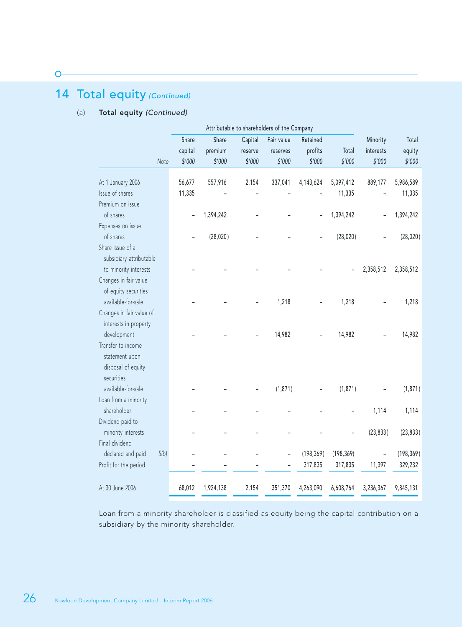# 14 Total equity (Continued)

#### (a) Total equity (Continued)

| Share<br>capital | Share<br>premium | Capital<br>reserve | Fair value<br>reserves | Retained<br>profits | Total                                                               | Minority<br>interests | Total<br>equity<br>\$'000 |
|------------------|------------------|--------------------|------------------------|---------------------|---------------------------------------------------------------------|-----------------------|---------------------------|
|                  |                  |                    |                        |                     |                                                                     |                       |                           |
| 56,677           | 557,916          | 2,154              | 337,041                | 4,143,624           | 5,097,412                                                           | 889,177               | 5,986,589                 |
| 11,335           |                  |                    |                        |                     | 11,335                                                              |                       | 11,335                    |
|                  |                  |                    |                        |                     |                                                                     |                       |                           |
|                  | 1,394,242        |                    |                        |                     | 1,394,242                                                           |                       | 1,394,242                 |
|                  |                  |                    |                        |                     |                                                                     |                       |                           |
|                  | (28, 020)        |                    |                        |                     | (28, 020)                                                           |                       | (28, 020)                 |
|                  |                  |                    |                        |                     |                                                                     |                       |                           |
|                  |                  |                    |                        |                     |                                                                     |                       |                           |
|                  |                  |                    |                        |                     |                                                                     | 2,358,512             | 2,358,512                 |
|                  |                  |                    |                        |                     |                                                                     |                       |                           |
|                  |                  |                    |                        |                     |                                                                     |                       |                           |
|                  |                  |                    | 1,218                  |                     | 1,218                                                               |                       | 1,218                     |
|                  |                  |                    |                        |                     |                                                                     |                       |                           |
|                  |                  |                    |                        |                     |                                                                     |                       |                           |
|                  |                  |                    | 14,982                 |                     | 14,982                                                              |                       | 14,982                    |
|                  |                  |                    |                        |                     |                                                                     |                       |                           |
|                  |                  |                    |                        |                     |                                                                     |                       |                           |
|                  |                  |                    |                        |                     |                                                                     |                       |                           |
|                  |                  |                    |                        |                     |                                                                     |                       |                           |
|                  |                  |                    | (1, 871)               |                     | (1, 871)                                                            |                       | (1,871)                   |
|                  |                  |                    |                        |                     |                                                                     |                       |                           |
|                  |                  |                    |                        |                     |                                                                     | 1,114                 | 1,114                     |
|                  |                  |                    |                        |                     |                                                                     |                       |                           |
|                  |                  |                    |                        |                     |                                                                     |                       | (23, 833)                 |
|                  |                  |                    |                        |                     |                                                                     |                       |                           |
|                  |                  |                    |                        |                     |                                                                     |                       | (198, 369)                |
|                  |                  |                    |                        | 317,835             | 317,835                                                             | 11,397                | 329,232                   |
| 68,012           | 1,924,138        | 2,154              | 351,370                | 4,263,090           | 6,608,764                                                           | 3,236,367             | 9,845,131                 |
|                  | \$'000           | \$'000             | \$'000                 | \$'000              | Attributable to shareholders of the Company<br>\$'000<br>(198, 369) | \$'000<br>(198, 369)  | \$'000<br>(23, 833)       |

Loan from a minority shareholder is classified as equity being the capital contribution on a subsidiary by the minority shareholder.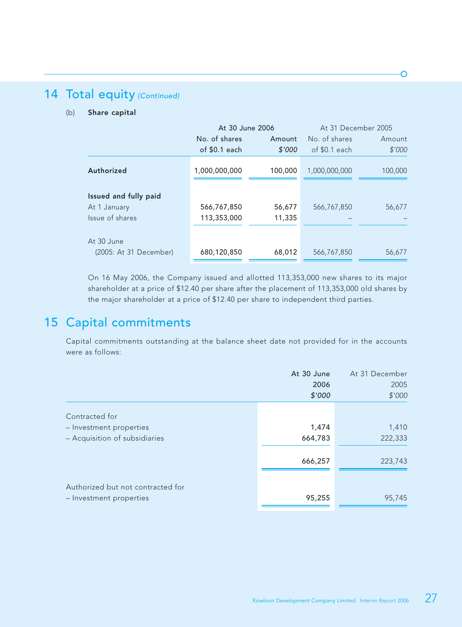# 14 Total equity (Continued)

#### (b) Share capital

|                        |               | At 30 June 2006 | At 31 December 2005 |         |  |
|------------------------|---------------|-----------------|---------------------|---------|--|
|                        | No. of shares | Amount          | No. of shares       | Amount  |  |
|                        | of \$0.1 each | \$'000          | of $$0.1$ each      | \$'000  |  |
| Authorized             | 1,000,000,000 | 100,000         | 1,000,000,000       | 100,000 |  |
| Issued and fully paid  |               |                 |                     |         |  |
| At 1 January           | 566,767,850   | 56,677          | 566, 767, 850       | 56,677  |  |
| Issue of shares        | 113,353,000   | 11,335          |                     |         |  |
| At 30 June             |               |                 |                     |         |  |
| (2005: At 31 December) | 680,120,850   | 68,012          | 566,767,850         | 56,677  |  |

On 16 May 2006, the Company issued and allotted 113,353,000 new shares to its major shareholder at a price of \$12.40 per share after the placement of 113,353,000 old shares by the major shareholder at a price of \$12.40 per share to independent third parties.

## 15 Capital commitments

Capital commitments outstanding at the balance sheet date not provided for in the accounts were as follows:

|                                   | At 30 June | At 31 December |
|-----------------------------------|------------|----------------|
|                                   | 2006       | 2005           |
|                                   | \$'000     | \$'000         |
| Contracted for                    |            |                |
| - Investment properties           | 1,474      | 1,410          |
| - Acquisition of subsidiaries     | 664,783    | 222,333        |
|                                   | 666,257    | 223,743        |
|                                   |            |                |
| Authorized but not contracted for |            |                |
| - Investment properties           | 95,255     | 95,745         |
|                                   |            |                |

Ō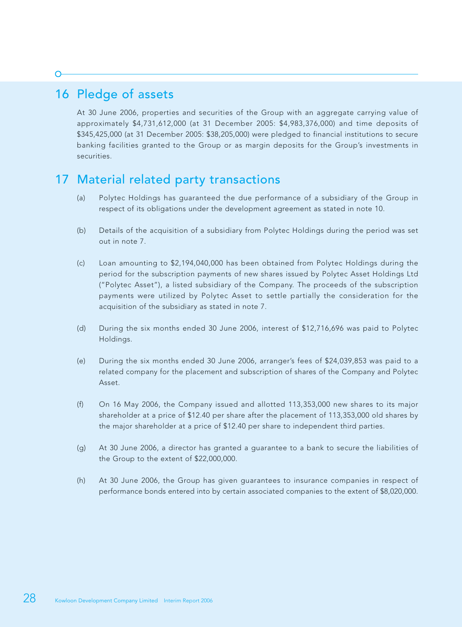# 16 Pledge of assets

At 30 June 2006, properties and securities of the Group with an aggregate carrying value of approximately \$4,731,612,000 (at 31 December 2005: \$4,983,376,000) and time deposits of \$345,425,000 (at 31 December 2005: \$38,205,000) were pledged to financial institutions to secure banking facilities granted to the Group or as margin deposits for the Group's investments in securities.

## 17 Material related party transactions

- (a) Polytec Holdings has guaranteed the due performance of a subsidiary of the Group in respect of its obligations under the development agreement as stated in note 10.
- (b) Details of the acquisition of a subsidiary from Polytec Holdings during the period was set out in note 7.
- (c) Loan amounting to \$2,194,040,000 has been obtained from Polytec Holdings during the period for the subscription payments of new shares issued by Polytec Asset Holdings Ltd ("Polytec Asset"), a listed subsidiary of the Company. The proceeds of the subscription payments were utilized by Polytec Asset to settle partially the consideration for the acquisition of the subsidiary as stated in note 7.
- (d) During the six months ended 30 June 2006, interest of \$12,716,696 was paid to Polytec Holdings.
- (e) During the six months ended 30 June 2006, arranger's fees of \$24,039,853 was paid to a related company for the placement and subscription of shares of the Company and Polytec Asset.
- (f) On 16 May 2006, the Company issued and allotted 113,353,000 new shares to its major shareholder at a price of \$12.40 per share after the placement of 113,353,000 old shares by the major shareholder at a price of \$12.40 per share to independent third parties.
- (g) At 30 June 2006, a director has granted a guarantee to a bank to secure the liabilities of the Group to the extent of \$22,000,000.
- (h) At 30 June 2006, the Group has given guarantees to insurance companies in respect of performance bonds entered into by certain associated companies to the extent of \$8,020,000.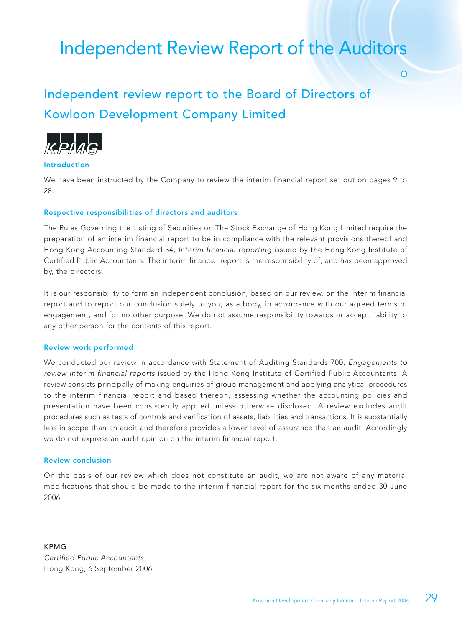# Independent Review Report of the Auditors

# Independent review report to the Board of Directors of Kowloon Development Company Limited



#### Introduction

We have been instructed by the Company to review the interim financial report set out on pages 9 to 28.

#### Respective responsibilities of directors and auditors

The Rules Governing the Listing of Securities on The Stock Exchange of Hong Kong Limited require the preparation of an interim financial report to be in compliance with the relevant provisions thereof and Hong Kong Accounting Standard 34, Interim financial reporting issued by the Hong Kong Institute of Certified Public Accountants. The interim financial report is the responsibility of, and has been approved by, the directors.

It is our responsibility to form an independent conclusion, based on our review, on the interim financial report and to report our conclusion solely to you, as a body, in accordance with our agreed terms of engagement, and for no other purpose. We do not assume responsibility towards or accept liability to any other person for the contents of this report.

#### Review work performed

We conducted our review in accordance with Statement of Auditing Standards 700, Engagements to review interim financial reports issued by the Hong Kong Institute of Certified Public Accountants. A review consists principally of making enquiries of group management and applying analytical procedures to the interim financial report and based thereon, assessing whether the accounting policies and presentation have been consistently applied unless otherwise disclosed. A review excludes audit procedures such as tests of controls and verification of assets, liabilities and transactions. It is substantially less in scope than an audit and therefore provides a lower level of assurance than an audit. Accordingly we do not express an audit opinion on the interim financial report.

#### Review conclusion

On the basis of our review which does not constitute an audit, we are not aware of any material modifications that should be made to the interim financial report for the six months ended 30 June 2006.

KPMG Certified Public Accountants Hong Kong, 6 September 2006  $\overline{\Omega}$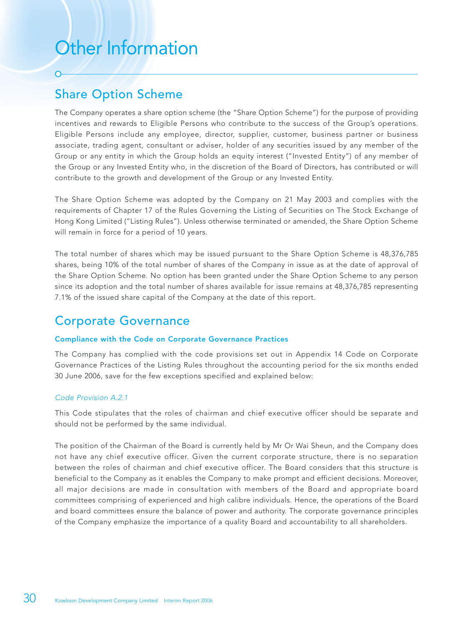# Other Information

## Share Option Scheme

The Company operates a share option scheme (the "Share Option Scheme") for the purpose of providing incentives and rewards to Eligible Persons who contribute to the success of the Group's operations. Eligible Persons include any employee, director, supplier, customer, business partner or business associate, trading agent, consultant or adviser, holder of any securities issued by any member of the Group or any entity in which the Group holds an equity interest ("Invested Entity") of any member of the Group or any Invested Entity who, in the discretion of the Board of Directors, has contributed or will contribute to the growth and development of the Group or any Invested Entity.

The Share Option Scheme was adopted by the Company on 21 May 2003 and complies with the requirements of Chapter 17 of the Rules Governing the Listing of Securities on The Stock Exchange of Hong Kong Limited ("Listing Rules"). Unless otherwise terminated or amended, the Share Option Scheme will remain in force for a period of 10 years.

The total number of shares which may be issued pursuant to the Share Option Scheme is 48,376,785 shares, being 10% of the total number of shares of the Company in issue as at the date of approval of the Share Option Scheme. No option has been granted under the Share Option Scheme to any person since its adoption and the total number of shares available for issue remains at 48,376,785 representing 7.1% of the issued share capital of the Company at the date of this report.

# Corporate Governance

#### Compliance with the Code on Corporate Governance Practices

The Company has complied with the code provisions set out in Appendix 14 Code on Corporate Governance Practices of the Listing Rules throughout the accounting period for the six months ended 30 June 2006, save for the few exceptions specified and explained below:

#### Code Provision A.2.1

This Code stipulates that the roles of chairman and chief executive officer should be separate and should not be performed by the same individual.

The position of the Chairman of the Board is currently held by Mr Or Wai Sheun, and the Company does not have any chief executive officer. Given the current corporate structure, there is no separation between the roles of chairman and chief executive officer. The Board considers that this structure is beneficial to the Company as it enables the Company to make prompt and efficient decisions. Moreover, all major decisions are made in consultation with members of the Board and appropriate board committees comprising of experienced and high calibre individuals. Hence, the operations of the Board and board committees ensure the balance of power and authority. The corporate governance principles of the Company emphasize the importance of a quality Board and accountability to all shareholders.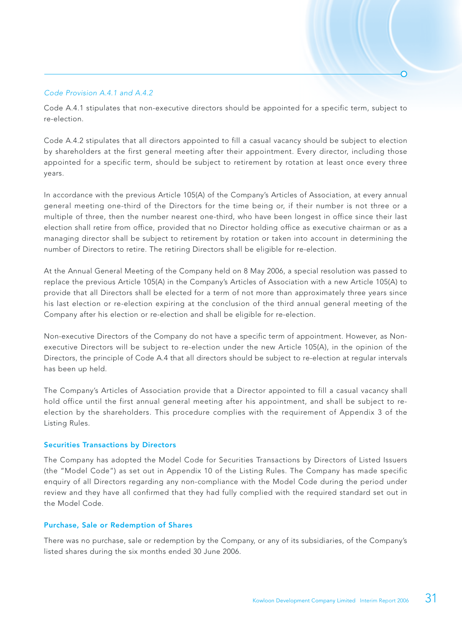#### Code Provision A.4.1 and A.4.2

Code A.4.1 stipulates that non-executive directors should be appointed for a specific term, subject to re-election.

Code A.4.2 stipulates that all directors appointed to fill a casual vacancy should be subject to election by shareholders at the first general meeting after their appointment. Every director, including those appointed for a specific term, should be subject to retirement by rotation at least once every three years.

In accordance with the previous Article 105(A) of the Company's Articles of Association, at every annual general meeting one-third of the Directors for the time being or, if their number is not three or a multiple of three, then the number nearest one-third, who have been longest in office since their last election shall retire from office, provided that no Director holding office as executive chairman or as a managing director shall be subject to retirement by rotation or taken into account in determining the number of Directors to retire. The retiring Directors shall be eligible for re-election.

At the Annual General Meeting of the Company held on 8 May 2006, a special resolution was passed to replace the previous Article 105(A) in the Company's Articles of Association with a new Article 105(A) to provide that all Directors shall be elected for a term of not more than approximately three years since his last election or re-election expiring at the conclusion of the third annual general meeting of the Company after his election or re-election and shall be eligible for re-election.

Non-executive Directors of the Company do not have a specific term of appointment. However, as Nonexecutive Directors will be subject to re-election under the new Article 105(A), in the opinion of the Directors, the principle of Code A.4 that all directors should be subject to re-election at regular intervals has been up held.

The Company's Articles of Association provide that a Director appointed to fill a casual vacancy shall hold office until the first annual general meeting after his appointment, and shall be subject to reelection by the shareholders. This procedure complies with the requirement of Appendix 3 of the Listing Rules.

#### Securities Transactions by Directors

The Company has adopted the Model Code for Securities Transactions by Directors of Listed Issuers (the "Model Code") as set out in Appendix 10 of the Listing Rules. The Company has made specific enquiry of all Directors regarding any non-compliance with the Model Code during the period under review and they have all confirmed that they had fully complied with the required standard set out in the Model Code.

#### Purchase, Sale or Redemption of Shares

There was no purchase, sale or redemption by the Company, or any of its subsidiaries, of the Company's listed shares during the six months ended 30 June 2006.

 $\overline{\Omega}$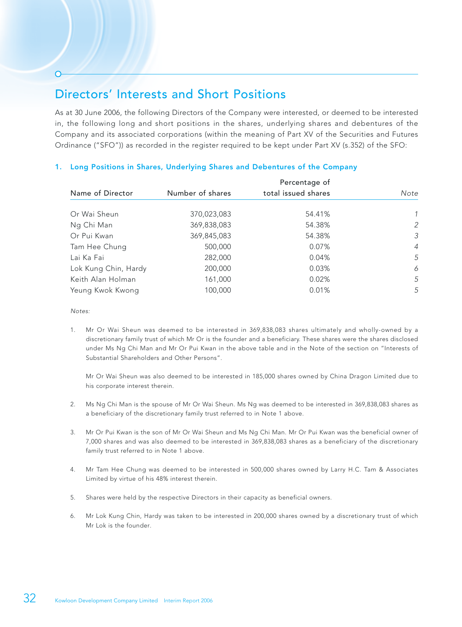## Directors' Interests and Short Positions

As at 30 June 2006, the following Directors of the Company were interested, or deemed to be interested in, the following long and short positions in the shares, underlying shares and debentures of the Company and its associated corporations (within the meaning of Part XV of the Securities and Futures Ordinance ("SFO")) as recorded in the register required to be kept under Part XV (s.352) of the SFO:

| Name of Director     | Percentage of    |                     |      |  |  |
|----------------------|------------------|---------------------|------|--|--|
|                      | Number of shares | total issued shares | Note |  |  |
|                      |                  |                     |      |  |  |
| Or Wai Sheun         | 370,023,083      | 54.41%              |      |  |  |
| Ng Chi Man           | 369,838,083      | 54.38%              | 2    |  |  |
| Or Pui Kwan          | 369,845,083      | 54.38%              | 3    |  |  |
| Tam Hee Chung        | 500,000          | 0.07%               | 4    |  |  |
| Lai Ka Fai           | 282,000          | 0.04%               | 5    |  |  |
| Lok Kung Chin, Hardy | 200,000          | 0.03%               | 6    |  |  |
| Keith Alan Holman    | 161,000          | 0.02%               | 5    |  |  |
| Yeung Kwok Kwong     | 100,000          | 0.01%               | 5    |  |  |

#### 1. Long Positions in Shares, Underlying Shares and Debentures of the Company

Notes:

1. Mr Or Wai Sheun was deemed to be interested in 369,838,083 shares ultimately and wholly-owned by a discretionary family trust of which Mr Or is the founder and a beneficiary. These shares were the shares disclosed under Ms Ng Chi Man and Mr Or Pui Kwan in the above table and in the Note of the section on "Interests of Substantial Shareholders and Other Persons".

Mr Or Wai Sheun was also deemed to be interested in 185,000 shares owned by China Dragon Limited due to his corporate interest therein.

- 2. Ms Ng Chi Man is the spouse of Mr Or Wai Sheun. Ms Ng was deemed to be interested in 369,838,083 shares as a beneficiary of the discretionary family trust referred to in Note 1 above.
- 3. Mr Or Pui Kwan is the son of Mr Or Wai Sheun and Ms Ng Chi Man. Mr Or Pui Kwan was the beneficial owner of 7,000 shares and was also deemed to be interested in 369,838,083 shares as a beneficiary of the discretionary family trust referred to in Note 1 above.
- 4. Mr Tam Hee Chung was deemed to be interested in 500,000 shares owned by Larry H.C. Tam & Associates Limited by virtue of his 48% interest therein.
- 5. Shares were held by the respective Directors in their capacity as beneficial owners.
- 6. Mr Lok Kung Chin, Hardy was taken to be interested in 200,000 shares owned by a discretionary trust of which Mr Lok is the founder.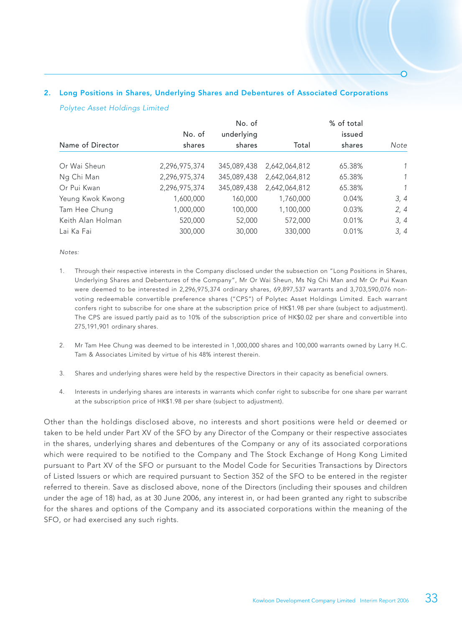#### 2. Long Positions in Shares, Underlying Shares and Debentures of Associated Corporations

#### Polytec Asset Holdings Limited

|                   |               | No. of      |               | % of total |               |
|-------------------|---------------|-------------|---------------|------------|---------------|
|                   | No. of        | underlying  |               | issued     |               |
| Name of Director  | shares        | shares      | Total         | shares     | Note          |
| Or Wai Sheun      | 2,296,975,374 | 345,089,438 | 2,642,064,812 | 65.38%     | $\mathcal{I}$ |
| Ng Chi Man        | 2,296,975,374 | 345,089,438 | 2,642,064,812 | 65.38%     | $\mathcal{I}$ |
| Or Pui Kwan       | 2,296,975,374 | 345,089,438 | 2,642,064,812 | 65.38%     | $\mathcal{I}$ |
| Yeung Kwok Kwong  | 1,600,000     | 160,000     | 1,760,000     | 0.04%      | 3, 4          |
| Tam Hee Chung     | 1,000,000     | 100,000     | 1,100,000     | 0.03%      | 2, 4          |
| Keith Alan Holman | 520,000       | 52,000      | 572,000       | 0.01%      | 3, 4          |
| Lai Ka Fai        | 300,000       | 30,000      | 330,000       | 0.01%      | 3, 4          |

#### Notes:

- 1. Through their respective interests in the Company disclosed under the subsection on "Long Positions in Shares, Underlying Shares and Debentures of the Company", Mr Or Wai Sheun, Ms Ng Chi Man and Mr Or Pui Kwan were deemed to be interested in 2,296,975,374 ordinary shares, 69,897,537 warrants and 3,703,590,076 nonvoting redeemable convertible preference shares ("CPS") of Polytec Asset Holdings Limited. Each warrant confers right to subscribe for one share at the subscription price of HK\$1.98 per share (subject to adjustment). The CPS are issued partly paid as to 10% of the subscription price of HK\$0.02 per share and convertible into 275,191,901 ordinary shares.
- 2. Mr Tam Hee Chung was deemed to be interested in 1,000,000 shares and 100,000 warrants owned by Larry H.C. Tam & Associates Limited by virtue of his 48% interest therein.
- 3. Shares and underlying shares were held by the respective Directors in their capacity as beneficial owners.
- 4. Interests in underlying shares are interests in warrants which confer right to subscribe for one share per warrant at the subscription price of HK\$1.98 per share (subject to adjustment).

Other than the holdings disclosed above, no interests and short positions were held or deemed or taken to be held under Part XV of the SFO by any Director of the Company or their respective associates in the shares, underlying shares and debentures of the Company or any of its associated corporations which were required to be notified to the Company and The Stock Exchange of Hong Kong Limited pursuant to Part XV of the SFO or pursuant to the Model Code for Securities Transactions by Directors of Listed Issuers or which are required pursuant to Section 352 of the SFO to be entered in the register referred to therein. Save as disclosed above, none of the Directors (including their spouses and children under the age of 18) had, as at 30 June 2006, any interest in, or had been granted any right to subscribe for the shares and options of the Company and its associated corporations within the meaning of the SFO, or had exercised any such rights.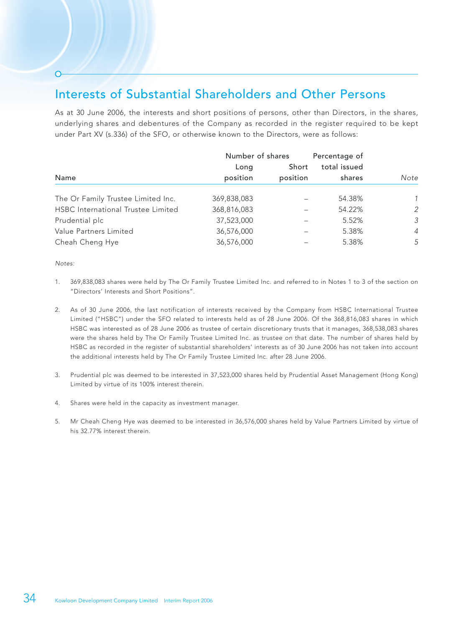# Interests of Substantial Shareholders and Other Persons

As at 30 June 2006, the interests and short positions of persons, other than Directors, in the shares, underlying shares and debentures of the Company as recorded in the register required to be kept under Part XV (s.336) of the SFO, or otherwise known to the Directors, were as follows:

|                                           | Number of shares |                   | Percentage of          |                |  |
|-------------------------------------------|------------------|-------------------|------------------------|----------------|--|
| Name                                      | Long<br>position | Short<br>position | total issued<br>shares | Note           |  |
| The Or Family Trustee Limited Inc.        | 369,838,083      |                   | 54.38%                 | 1              |  |
| <b>HSBC</b> International Trustee Limited | 368,816,083      |                   | 54.22%                 | 2              |  |
| Prudential plc                            | 37,523,000       |                   | 5.52%                  | 3              |  |
| Value Partners Limited                    | 36,576,000       |                   | 5.38%                  | $\overline{4}$ |  |
| Cheah Cheng Hye                           | 36,576,000       |                   | 5.38%                  | 5              |  |

Notes:

- 1. 369,838,083 shares were held by The Or Family Trustee Limited Inc. and referred to in Notes 1 to 3 of the section on "Directors' Interests and Short Positions".
- 2. As of 30 June 2006, the last notification of interests received by the Company from HSBC International Trustee Limited ("HSBC") under the SFO related to interests held as of 28 June 2006. Of the 368,816,083 shares in which HSBC was interested as of 28 June 2006 as trustee of certain discretionary trusts that it manages, 368,538,083 shares were the shares held by The Or Family Trustee Limited Inc. as trustee on that date. The number of shares held by HSBC as recorded in the register of substantial shareholders' interests as of 30 June 2006 has not taken into account the additional interests held by The Or Family Trustee Limited Inc. after 28 June 2006.
- 3. Prudential plc was deemed to be interested in 37,523,000 shares held by Prudential Asset Management (Hong Kong) Limited by virtue of its 100% interest therein.
- 4. Shares were held in the capacity as investment manager.
- 5. Mr Cheah Cheng Hye was deemed to be interested in 36,576,000 shares held by Value Partners Limited by virtue of his 32.77% interest therein.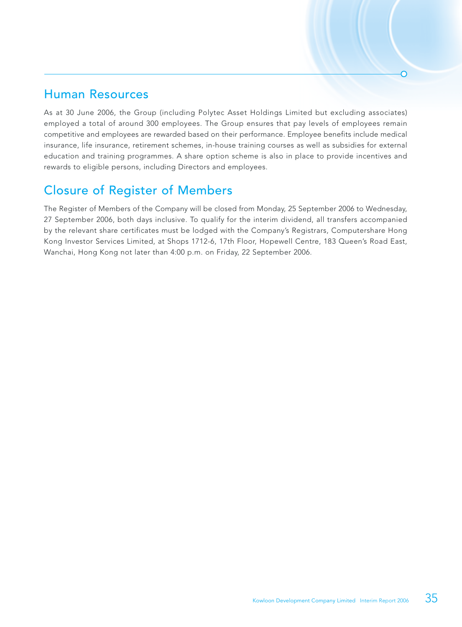### Human Resources

As at 30 June 2006, the Group (including Polytec Asset Holdings Limited but excluding associates) employed a total of around 300 employees. The Group ensures that pay levels of employees remain competitive and employees are rewarded based on their performance. Employee benefits include medical insurance, life insurance, retirement schemes, in-house training courses as well as subsidies for external education and training programmes. A share option scheme is also in place to provide incentives and rewards to eligible persons, including Directors and employees.

# Closure of Register of Members

The Register of Members of the Company will be closed from Monday, 25 September 2006 to Wednesday, 27 September 2006, both days inclusive. To qualify for the interim dividend, all transfers accompanied by the relevant share certificates must be lodged with the Company's Registrars, Computershare Hong Kong Investor Services Limited, at Shops 1712-6, 17th Floor, Hopewell Centre, 183 Queen's Road East, Wanchai, Hong Kong not later than 4:00 p.m. on Friday, 22 September 2006.

 $\overline{\Omega}$